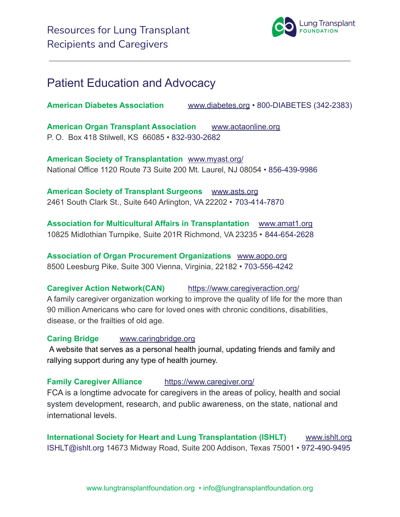

## Patient Education and Advocacy

**American Diabetes Association** [www.diabetes.org](http://www.diabetes.org/) • 800-DIABETES (342-2383)

**American Organ Transplant Association** [www.aotaonline.org](http://www.aotaonline.org/) P. O. Box 418 Stilwell, KS 66085 • 832-930-2682

**American Society of Transplantation** [www.myast.org/](https://www.myast.org/) National Office 1120 Route 73 Suite 200 Mt. Laurel, NJ 08054 • 856-439-9986

**American Society of Transplant Surgeons** [www.asts.org](https://www.asts.org/) 2461 South Clark St., Suite 640 Arlington, VA 22202 • 703-414-7870

**Association for Multicultural Affairs in Transplantation** [www.amat1.org](http://www.amat1.org/) 10825 Midlothian Turnpike, Suite 201R Richmond, VA 23235 • 844-654-2628

**Association of Organ Procurement Organizations** [www.aopo.org](http://www.aopo.org/) 8500 Leesburg Pike, Suite 300 Vienna, Virginia, 22182 • 703-556-4242

**Caregiver Action Network(CAN)** <https://www.caregiveraction.org/>

A family caregiver organization working to improve the quality of life for the more than 90 million Americans who care for loved ones with chronic conditions, disabilities, disease, or the frailties of old age.

**Caring Bridge** [www.caringbridge.org](http://www.caringbridge.org)

A website that serves as a personal health journal, updating friends and family and rallying support during any type of health journey.

**Family Caregiver Alliance** <https://www.caregiver.org/>

FCA is a longtime advocate for caregivers in the areas of policy, health and social system development, research, and public awareness, on the state, national and international levels.

**International Society for Heart and Lung Transplantation (ISHLT)** [www.ishlt.org](http://www.ishlt.org/) ISHLT@ishlt.org 14673 Midway Road, Suite 200 Addison, Texas 75001 • 972-490-9495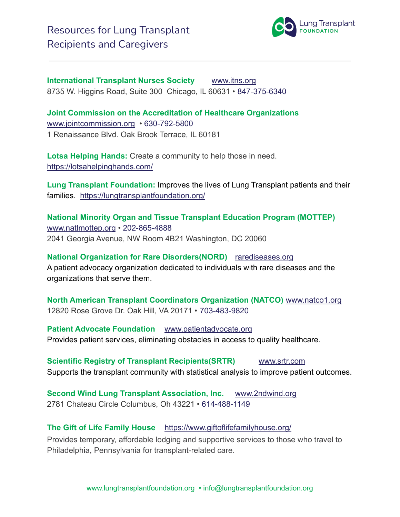

**International Transplant Nurses Society** [www.itns.org](http://www.itns.org/) 8735 W. Higgins Road, Suite 300 Chicago, IL 60631 • 847-375-6340

**Joint Commission on the Accreditation of Healthcare Organizations** [www.jointcommission.org](https://www.jointcommission.org/) • 630-792-5800 1 Renaissance Blvd. Oak Brook Terrace, IL 60181

**Lotsa Helping Hands:** Create a community to help those in need. <https://lotsahelpinghands.com/>

**Lung Transplant Foundation:** Improves the lives of Lung Transplant patients and their families. <https://lungtransplantfoundation.org/>

**National Minority Organ and Tissue Transplant Education Program (MOTTEP)** [www.natlmottep.org](https://www.natlmottep.org/) • 202-865-4888 2041 Georgia Avenue, NW Room 4B21 Washington, DC 20060

**National Organization for Rare Disorders(NORD)** [rarediseases.org](https://rarediseases.org/) A patient advocacy organization dedicated to individuals with rare diseases and the organizations that serve them.

**North American Transplant Coordinators Organization (NATCO)** [www.natco1.org](http://www.natco1.org/home/index.asp) 12820 Rose Grove Dr. Oak Hill, VA 20171 • 703-483-9820

**Patient Advocate Foundation** [www.patientadvocate.org](http://www.patientadvocate.org) Provides patient services, eliminating obstacles in access to quality healthcare.

**Scientific Registry of Transplant Recipients(SRTR)** [www.srtr.com](http://www.srtr.com) Supports the transplant community with statistical analysis to improve patient outcomes.

**Second Wind Lung Transplant Association, Inc.** [www.2ndwind.org](https://www.2ndwind.org/) 2781 Chateau Circle Columbus, Oh 43221 • 614-488-1149

#### **The Gift of Life Family House** <https://www.giftoflifefamilyhouse.org/>

Provides temporary, affordable lodging and supportive services to those who travel to Philadelphia, Pennsylvania for transplant-related care.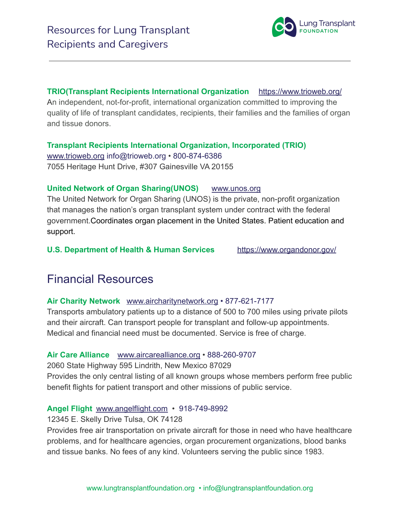**TRIO(Transplant Recipients International Organization** <https://www.trioweb.org/> An independent, not-for-profit, international organization committed to improving the quality of life of transplant candidates, recipients, their families and the families of organ and tissue donors.

**Transplant Recipients International Organization, Incorporated (TRIO)** [www.trioweb.org](https://www.trioweb.org/) [info@trioweb.org](mailto:info@trioweb.org) • 800-874-6386 7055 Heritage Hunt Drive, #307 Gainesville VA 20155

#### **United Network of Organ Sharing(UNOS)** [www.unos.org](http://www.unos.org)

The United Network for Organ Sharing (UNOS) is the private, non-profit organization that manages the nation's organ transplant system under contract with the federal government.Coordinates organ placement in the United States. Patient education and support.

**U.S. Department of Health & Human Services** <https://www.organdonor.gov/>

## Financial Resources

#### **Air Charity Network** [www.aircharitynetwork.org](http://www.aircharitynetwork.org/) • 877-621-7177

Transports ambulatory patients up to a distance of 500 to 700 miles using private pilots and their aircraft. Can transport people for transplant and follow-up appointments. Medical and financial need must be documented. Service is free of charge.

#### **Air Care Alliance** [www.aircarealliance.org](http://www.aircarealliance.org/) • 888-260-9707

2060 State Highway 595 Lindrith, New Mexico 87029 Provides the only central listing of all known groups whose members perform free public benefit flights for patient transport and other missions of public service.

#### **Angel Flight** [www.angelflight.com](http://www.angelflight.com/) • 918-749-8992

12345 E. Skelly Drive Tulsa, OK 74128

Provides free air transportation on private aircraft for those in need who have healthcare problems, and for healthcare agencies, organ procurement organizations, blood banks and tissue banks. No fees of any kind. Volunteers serving the public since 1983.

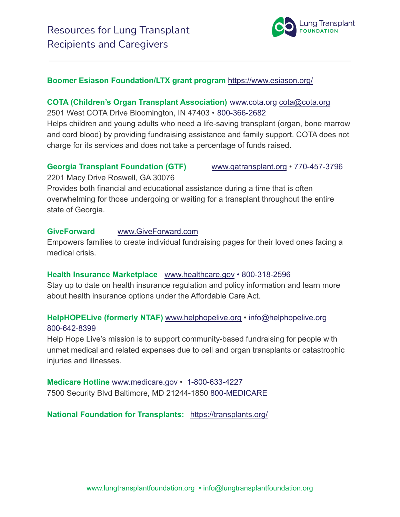

#### **Boomer Esiason Foundation/LTX grant program** <https://www.esiason.org/>

#### **COTA (Children's Organ Transplant Association)** [www.cota.org](https://cota.org/) [cota@cota.org](mailto:cota@cota.org) 2501 West COTA Drive Bloomington, IN 47403 • 800-366-2682

Helps children and young adults who need a life-saving transplant (organ, bone marrow and cord blood) by providing fundraising assistance and family support. COTA does not charge for its services and does not take a percentage of funds raised.

#### **Georgia Transplant Foundation (GTF)** [www.gatransplant.org](https://gatransplant.org/) • 770-457-3796

2201 Macy Drive Roswell, GA 30076

Provides both financial and educational assistance during a time that is often overwhelming for those undergoing or waiting for a transplant throughout the entire state of Georgia.

#### **GiveForward** [www.GiveForward.com](http://www.giveforward.com/)

Empowers families to create individual fundraising pages for their loved ones facing a medical crisis.

#### **Health Insurance Marketplace** [www.healthcare.gov](https://www.healthcare.gov/) • 800-318-2596

Stay up to date on health insurance regulation and policy information and learn more about health insurance options under the Affordable Care Act.

#### **HelpHOPELive (formerly NTAF)** [www.helphopelive.org](https://www.helphopelive.org/) • info@helphopelive.org 800-642-8399

Help Hope Live's mission is to support community-based fundraising for people with unmet medical and related expenses due to cell and organ transplants or catastrophic injuries and illnesses.

**Medicare Hotline** [www.medicare.gov](https://www.medicare.gov/) • 1-800-633-4227 7500 Security Blvd Baltimore, MD 21244-1850 800-MEDICARE

#### **National Foundation for Transplants:** <https://transplants.org/>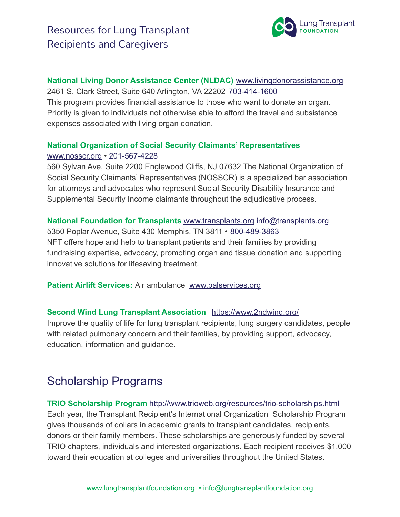

#### **National Living Donor Assistance Center (NLDAC)** [www.livingdonorassistance.org](https://www.livingdonorassistance.org/)

2461 S. Clark Street, Suite 640 Arlington, VA 22202 703-414-1600 This program provides financial assistance to those who want to donate an organ. Priority is given to individuals not otherwise able to afford the travel and subsistence expenses associated with living organ donation.

### **National Organization of Social Security Claimants' Representatives** [www.nosscr.org](https://www.nosscr.org/) • 201-567-4228

560 Sylvan Ave, Suite 2200 Englewood Cliffs, NJ 07632 The National Organization of Social Security Claimants' Representatives (NOSSCR) is a specialized bar association for attorneys and advocates who represent Social Security Disability Insurance and Supplemental Security Income claimants throughout the adjudicative process.

#### **National Foundation for Transplants** [www.transplants.org](http://www.transplants.org/) info@transplants.org

5350 Poplar Avenue, Suite 430 Memphis, TN 3811 • 800-489-3863 NFT offers hope and help to transplant patients and their families by providing fundraising expertise, advocacy, promoting organ and tissue donation and supporting innovative solutions for lifesaving treatment.

**Patient Airlift Services:** Air ambulance [www.palservices.org](http://www.palservices.org)

#### **Second Wind Lung Transplant Association** <https://www.2ndwind.org/>

Improve the quality of life for lung transplant recipients, lung surgery candidates, people with related pulmonary concern and their families, by providing support, advocacy, education, information and guidance.

# Scholarship Programs

**TRIO Scholarship Program** <http://www.trioweb.org/resources/trio-scholarships.html> Each year, the Transplant Recipient's International Organization Scholarship Program gives thousands of dollars in academic grants to transplant candidates, recipients, donors or their family members. These scholarships are generously funded by several TRIO chapters, individuals and interested organizations. Each recipient receives \$1,000 toward their education at colleges and universities throughout the United States.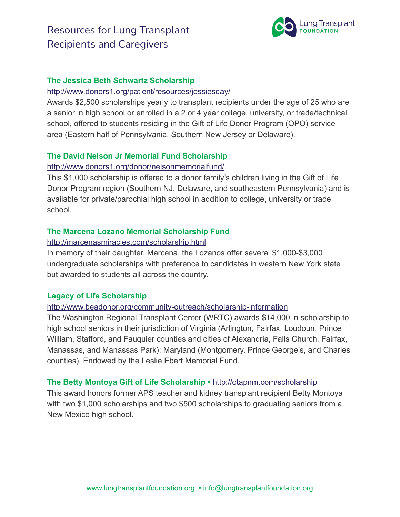

#### **The Jessica Beth Schwartz Scholarship**

#### <http://www.donors1.org/patient/resources/jessiesday/>

Awards \$2,500 scholarships yearly to transplant recipients under the age of 25 who are a senior in high school or enrolled in a 2 or 4 year college, university, or trade/technical school, offered to students residing in the Gift of Life Donor Program (OPO) service area (Eastern half of Pennsylvania, Southern New Jersey or Delaware).

#### **The David Nelson Jr Memorial Fund Scholarship**

#### <http://www.donors1.org/donor/nelsonmemorialfund/>

This \$1,000 scholarship is offered to a donor family's children living in the Gift of Life Donor Program region (Southern NJ, Delaware, and southeastern Pennsylvania) and is available for private/parochial high school in addition to college, university or trade school.

#### **The Marcena Lozano Memorial Scholarship Fund**

#### <http://marcenasmiracles.com/scholarship.html>

In memory of their daughter, Marcena, the Lozanos offer several \$1,000-\$3,000 undergraduate scholarships with preference to candidates in western New York state but awarded to students all across the country.

#### **Legacy of Life Scholarship**

#### <http://www.beadonor.org/community-outreach/scholarship-information>

The Washington Regional Transplant Center (WRTC) awards \$14,000 in scholarship to high school seniors in their jurisdiction of Virginia (Arlington, Fairfax, Loudoun, Prince William, Stafford, and Fauquier counties and cities of Alexandria, Falls Church, Fairfax, Manassas, and Manassas Park); Maryland (Montgomery, Prince George's, and Charles counties). Endowed by the Leslie Ebert Memorial Fund.

#### **The Betty Montoya Gift of Life Scholarship •** <http://otapnm.com/scholarship>

This award honors former APS teacher and kidney transplant recipient Betty Montoya with two \$1,000 scholarships and two \$500 scholarships to graduating seniors from a New Mexico high school.